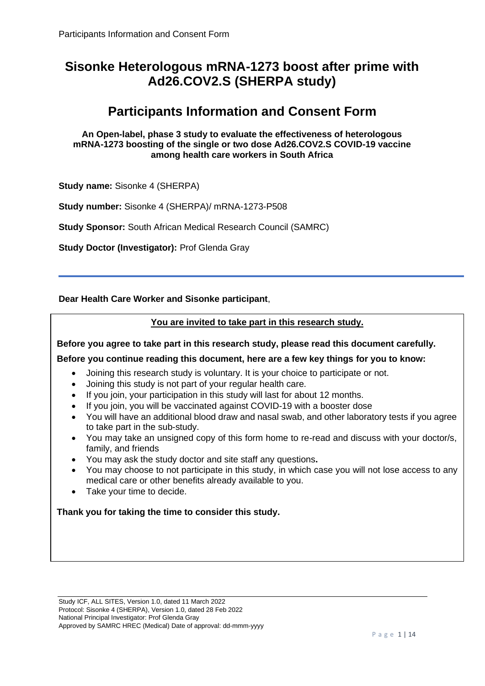# **Sisonke Heterologous mRNA-1273 boost after prime with Ad26.COV2.S (SHERPA study)**

# **Participants Information and Consent Form**

**An Open-label, phase 3 study to evaluate the effectiveness of heterologous mRNA-1273 boosting of the single or two dose Ad26.COV2.S COVID-19 vaccine among health care workers in South Africa**

**Study name:** Sisonke 4 (SHERPA)

**Study number:** Sisonke 4 (SHERPA)/ mRNA-1273-P508

**Study Sponsor:** South African Medical Research Council (SAMRC)

**Study Doctor (Investigator):** Prof Glenda Gray

**Dear Health Care Worker and Sisonke participant**,

# **You are invited to take part in this research study.**

**Before you agree to take part in this research study, please read this document carefully.** 

# **Before you continue reading this document, here are a few key things for you to know:**

- Joining this research study is voluntary. It is your choice to participate or not.
- Joining this study is not part of your regular health care.
- If you join, your participation in this study will last for about 12 months.
- If you join, you will be vaccinated against COVID-19 with a booster dose
- You will have an additional blood draw and nasal swab, and other laboratory tests if you agree to take part in the sub-study.
- You may take an unsigned copy of this form home to re-read and discuss with your doctor/s, family, and friends
- You may ask the study doctor and site staff any questions**.**
- You may choose to not participate in this study, in which case you will not lose access to any medical care or other benefits already available to you.
- Take your time to decide.

# **Thank you for taking the time to consider this study.**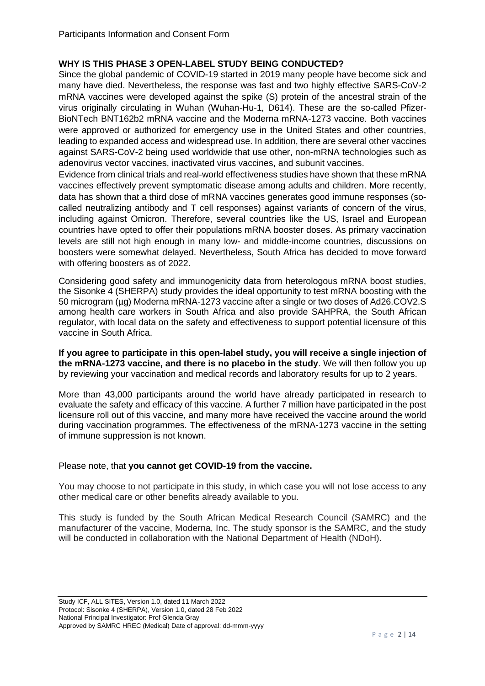# **WHY IS THIS PHASE 3 OPEN-LABEL STUDY BEING CONDUCTED?**

Since the global pandemic of COVID-19 started in 2019 many people have become sick and many have died. Nevertheless, the response was fast and two highly effective SARS-CoV-2 mRNA vaccines were developed against the spike (S) protein of the ancestral strain of the virus originally circulating in Wuhan (Wuhan*-*Hu*-*1*,* D614). These are the so-called Pfizer-BioNTech BNT162b2 mRNA vaccine and the Moderna mRNA-1273 vaccine. Both vaccines were approved or authorized for emergency use in the United States and other countries, leading to expanded access and widespread use. In addition, there are several other vaccines against SARS-CoV-2 being used worldwide that use other, non-mRNA technologies such as adenovirus vector vaccines, inactivated virus vaccines, and subunit vaccines.

Evidence from clinical trials and real-world effectiveness studies have shown that these mRNA vaccines effectively prevent symptomatic disease among adults and children. More recently, data has shown that a third dose of mRNA vaccines generates good immune responses (socalled neutralizing antibody and T cell responses) against variants of concern of the virus, including against Omicron. Therefore, several countries like the US, Israel and European countries have opted to offer their populations mRNA booster doses. As primary vaccination levels are still not high enough in many low- and middle-income countries, discussions on boosters were somewhat delayed. Nevertheless, South Africa has decided to move forward with offering boosters as of 2022.

Considering good safety and immunogenicity data from heterologous mRNA boost studies, the Sisonke 4 (SHERPA) study provides the ideal opportunity to test mRNA boosting with the 50 microgram (µg) Moderna mRNA-1273 vaccine after a single or two doses of Ad26.COV2.S among health care workers in South Africa and also provide SAHPRA, the South African regulator, with local data on the safety and effectiveness to support potential licensure of this vaccine in South Africa.

**If you agree to participate in this open-label study, you will receive a single injection of the mRNA-1273 vaccine, and there is no placebo in the study**. We will then follow you up by reviewing your vaccination and medical records and laboratory results for up to 2 years.

More than 43,000 participants around the world have already participated in research to evaluate the safety and efficacy of this vaccine. A further 7 million have participated in the post licensure roll out of this vaccine, and many more have received the vaccine around the world during vaccination programmes. The effectiveness of the mRNA-1273 vaccine in the setting of immune suppression is not known.

# Please note, that **you cannot get COVID-19 from the vaccine.**

You may choose to not participate in this study, in which case you will not lose access to any other medical care or other benefits already available to you.

This study is funded by the South African Medical Research Council (SAMRC) and the manufacturer of the vaccine, Moderna, Inc. The study sponsor is the SAMRC, and the study will be conducted in collaboration with the National Department of Health (NDoH).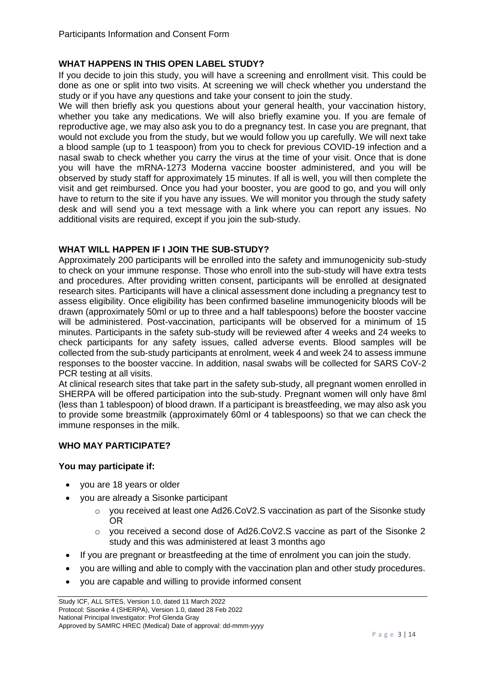# **WHAT HAPPENS IN THIS OPEN LABEL STUDY?**

If you decide to join this study, you will have a screening and enrollment visit. This could be done as one or split into two visits. At screening we will check whether you understand the study or if you have any questions and take your consent to join the study.

We will then briefly ask you questions about your general health, your vaccination history, whether you take any medications. We will also briefly examine you. If you are female of reproductive age, we may also ask you to do a pregnancy test. In case you are pregnant, that would not exclude you from the study, but we would follow you up carefully. We will next take a blood sample (up to 1 teaspoon) from you to check for previous COVID-19 infection and a nasal swab to check whether you carry the virus at the time of your visit. Once that is done you will have the mRNA-1273 Moderna vaccine booster administered, and you will be observed by study staff for approximately 15 minutes. If all is well, you will then complete the visit and get reimbursed. Once you had your booster, you are good to go, and you will only have to return to the site if you have any issues. We will monitor you through the study safety desk and will send you a text message with a link where you can report any issues. No additional visits are required, except if you join the sub-study.

# **WHAT WILL HAPPEN IF I JOIN THE SUB-STUDY?**

Approximately 200 participants will be enrolled into the safety and immunogenicity sub-study to check on your immune response. Those who enroll into the sub-study will have extra tests and procedures. After providing written consent, participants will be enrolled at designated research sites. Participants will have a clinical assessment done including a pregnancy test to assess eligibility. Once eligibility has been confirmed baseline immunogenicity bloods will be drawn (approximately 50ml or up to three and a half tablespoons) before the booster vaccine will be administered. Post-vaccination, participants will be observed for a minimum of 15 minutes. Participants in the safety sub-study will be reviewed after 4 weeks and 24 weeks to check participants for any safety issues, called adverse events. Blood samples will be collected from the sub-study participants at enrolment, week 4 and week 24 to assess immune responses to the booster vaccine. In addition, nasal swabs will be collected for SARS CoV-2 PCR testing at all visits.

At clinical research sites that take part in the safety sub-study, all pregnant women enrolled in SHERPA will be offered participation into the sub-study. Pregnant women will only have 8ml (less than 1 tablespoon) of blood drawn. If a participant is breastfeeding, we may also ask you to provide some breastmilk (approximately 60ml or 4 tablespoons) so that we can check the immune responses in the milk.

# **WHO MAY PARTICIPATE?**

# **You may participate if:**

- you are 18 years or older
- you are already a Sisonke participant
	- o you received at least one Ad26.CoV2.S vaccination as part of the Sisonke study OR
	- o you received a second dose of Ad26.CoV2.S vaccine as part of the Sisonke 2 study and this was administered at least 3 months ago
- If you are pregnant or breastfeeding at the time of enrolment you can join the study.
- you are willing and able to comply with the vaccination plan and other study procedures.
- you are capable and willing to provide informed consent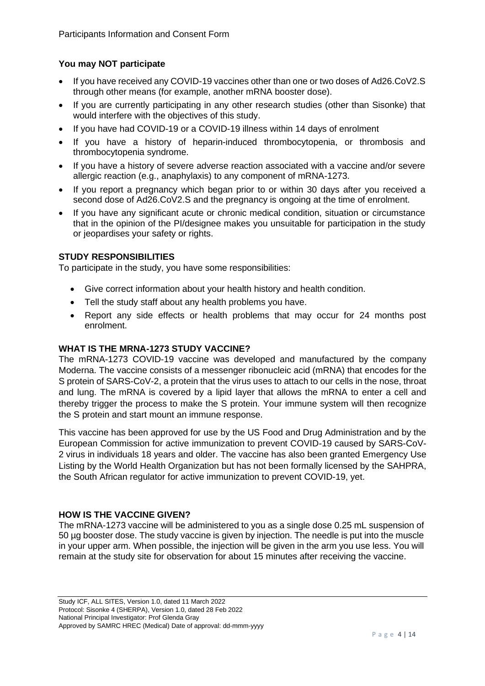# **You may NOT participate**

- If you have received any COVID-19 vaccines other than one or two doses of Ad26.CoV2.S through other means (for example, another mRNA booster dose).
- If you are currently participating in any other research studies (other than Sisonke) that would interfere with the objectives of this study.
- If you have had COVID-19 or a COVID-19 illness within 14 days of enrolment
- If you have a history of heparin-induced thrombocytopenia, or thrombosis and thrombocytopenia syndrome.
- If you have a history of severe adverse reaction associated with a vaccine and/or severe allergic reaction (e.g., anaphylaxis) to any component of mRNA-1273.
- If you report a pregnancy which began prior to or within 30 days after you received a second dose of Ad26.CoV2.S and the pregnancy is ongoing at the time of enrolment.
- If you have any significant acute or chronic medical condition, situation or circumstance that in the opinion of the PI/designee makes you unsuitable for participation in the study or jeopardises your safety or rights.

# **STUDY RESPONSIBILITIES**

To participate in the study, you have some responsibilities:

- Give correct information about your health history and health condition.
- Tell the study staff about any health problems you have.
- Report any side effects or health problems that may occur for 24 months post enrolment.

# **WHAT IS THE MRNA-1273 STUDY VACCINE?**

The mRNA-1273 COVID-19 vaccine was developed and manufactured by the company Moderna. The vaccine consists of a messenger ribonucleic acid (mRNA) that encodes for the S protein of SARS-CoV-2, a protein that the virus uses to attach to our cells in the nose, throat and lung. The mRNA is covered by a lipid layer that allows the mRNA to enter a cell and thereby trigger the process to make the S protein. Your immune system will then recognize the S protein and start mount an immune response.

This vaccine has been approved for use by the US Food and Drug Administration and by the European Commission for active immunization to prevent COVID-19 caused by SARS-CoV-2 virus in individuals 18 years and older. The vaccine has also been granted Emergency Use Listing by the World Health Organization but has not been formally licensed by the SAHPRA, the South African regulator for active immunization to prevent COVID-19, yet.

# **HOW IS THE VACCINE GIVEN?**

The mRNA-1273 vaccine will be administered to you as a single dose 0.25 mL suspension of 50 µg booster dose. The study vaccine is given by injection. The needle is put into the muscle in your upper arm. When possible, the injection will be given in the arm you use less. You will remain at the study site for observation for about 15 minutes after receiving the vaccine.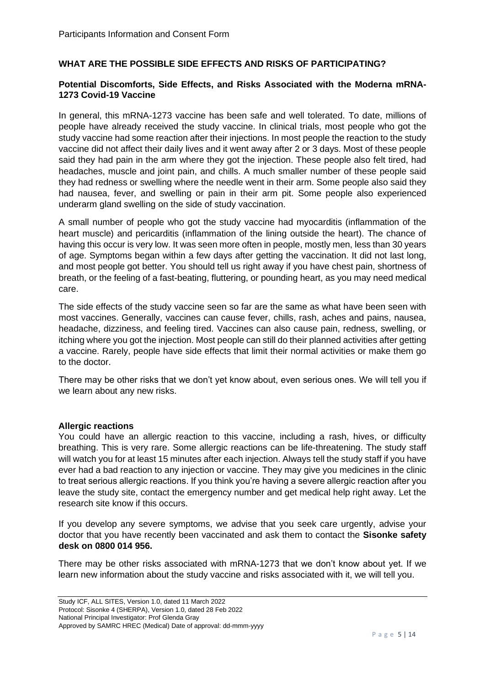# **WHAT ARE THE POSSIBLE SIDE EFFECTS AND RISKS OF PARTICIPATING?**

### **Potential Discomforts, Side Effects, and Risks Associated with the Moderna mRNA-1273 Covid-19 Vaccine**

In general, this mRNA-1273 vaccine has been safe and well tolerated. To date, millions of people have already received the study vaccine. In clinical trials, most people who got the study vaccine had some reaction after their injections. In most people the reaction to the study vaccine did not affect their daily lives and it went away after 2 or 3 days. Most of these people said they had pain in the arm where they got the injection. These people also felt tired, had headaches, muscle and joint pain, and chills. A much smaller number of these people said they had redness or swelling where the needle went in their arm. Some people also said they had nausea, fever, and swelling or pain in their arm pit. Some people also experienced underarm gland swelling on the side of study vaccination.

A small number of people who got the study vaccine had myocarditis (inflammation of the heart muscle) and pericarditis (inflammation of the lining outside the heart). The chance of having this occur is very low. It was seen more often in people, mostly men, less than 30 years of age. Symptoms began within a few days after getting the vaccination. It did not last long, and most people got better. You should tell us right away if you have chest pain, shortness of breath, or the feeling of a fast-beating, fluttering, or pounding heart, as you may need medical care.

The side effects of the study vaccine seen so far are the same as what have been seen with most vaccines. Generally, vaccines can cause fever, chills, rash, aches and pains, nausea, headache, dizziness, and feeling tired. Vaccines can also cause pain, redness, swelling, or itching where you got the injection. Most people can still do their planned activities after getting a vaccine. Rarely, people have side effects that limit their normal activities or make them go to the doctor.

There may be other risks that we don't yet know about, even serious ones. We will tell you if we learn about any new risks.

# **Allergic reactions**

You could have an allergic reaction to this vaccine, including a rash, hives, or difficulty breathing. This is very rare. Some allergic reactions can be life-threatening. The study staff will watch you for at least 15 minutes after each injection. Always tell the study staff if you have ever had a bad reaction to any injection or vaccine. They may give you medicines in the clinic to treat serious allergic reactions. If you think you're having a severe allergic reaction after you leave the study site, contact the emergency number and get medical help right away. Let the research site know if this occurs.

If you develop any severe symptoms, we advise that you seek care urgently, advise your doctor that you have recently been vaccinated and ask them to contact the **Sisonke safety desk on 0800 014 956.** 

There may be other risks associated with mRNA-1273 that we don't know about yet. If we learn new information about the study vaccine and risks associated with it, we will tell you.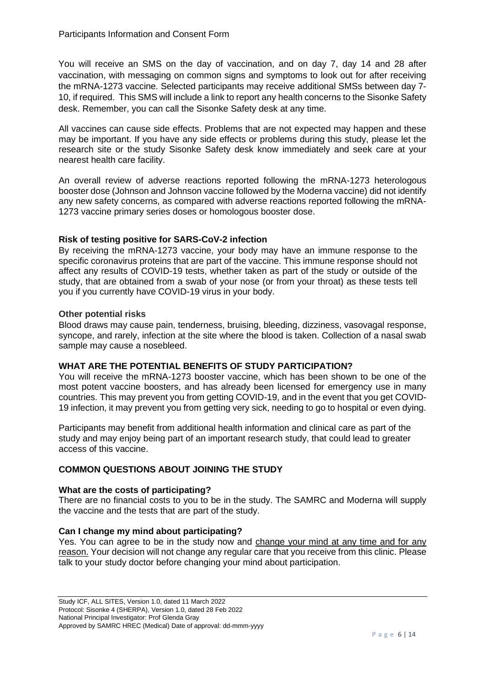You will receive an SMS on the day of vaccination, and on day 7, day 14 and 28 after vaccination, with messaging on common signs and symptoms to look out for after receiving the mRNA-1273 vaccine. Selected participants may receive additional SMSs between day 7- 10, if required. This SMS will include a link to report any health concerns to the Sisonke Safety desk. Remember, you can call the Sisonke Safety desk at any time.

All vaccines can cause side effects. Problems that are not expected may happen and these may be important. If you have any side effects or problems during this study, please let the research site or the study Sisonke Safety desk know immediately and seek care at your nearest health care facility.

An overall review of adverse reactions reported following the mRNA-1273 heterologous booster dose (Johnson and Johnson vaccine followed by the Moderna vaccine) did not identify any new safety concerns, as compared with adverse reactions reported following the mRNA-1273 vaccine primary series doses or homologous booster dose.

# **Risk of testing positive for SARS-CoV-2 infection**

By receiving the mRNA-1273 vaccine, your body may have an immune response to the specific coronavirus proteins that are part of the vaccine. This immune response should not affect any results of COVID-19 tests, whether taken as part of the study or outside of the study, that are obtained from a swab of your nose (or from your throat) as these tests tell you if you currently have COVID-19 virus in your body.

# **Other potential risks**

Blood draws may cause pain, tenderness, bruising, bleeding, dizziness, vasovagal response, syncope, and rarely, infection at the site where the blood is taken. Collection of a nasal swab sample may cause a nosebleed.

# **WHAT ARE THE POTENTIAL BENEFITS OF STUDY PARTICIPATION?**

You will receive the mRNA-1273 booster vaccine, which has been shown to be one of the most potent vaccine boosters, and has already been licensed for emergency use in many countries. This may prevent you from getting COVID-19, and in the event that you get COVID-19 infection, it may prevent you from getting very sick, needing to go to hospital or even dying.

Participants may benefit from additional health information and clinical care as part of the study and may enjoy being part of an important research study, that could lead to greater access of this vaccine.

# **COMMON QUESTIONS ABOUT JOINING THE STUDY**

# **What are the costs of participating?**

There are no financial costs to you to be in the study. The SAMRC and Moderna will supply the vaccine and the tests that are part of the study.

# **Can I change my mind about participating?**

Yes. You can agree to be in the study now and change your mind at any time and for any reason. Your decision will not change any regular care that you receive from this clinic. Please talk to your study doctor before changing your mind about participation.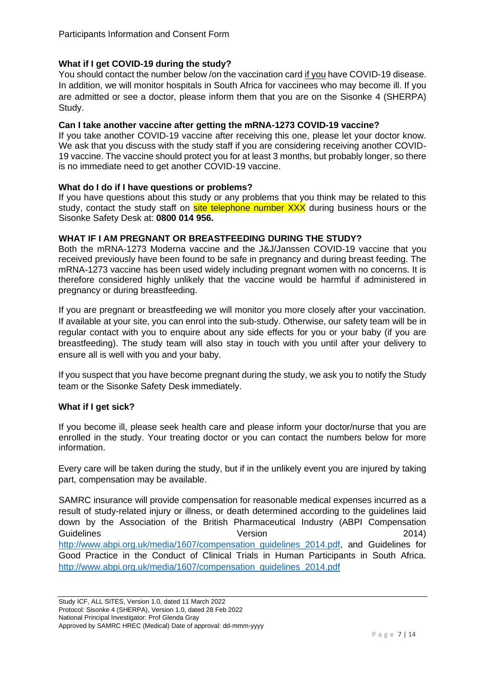# **What if I get COVID-19 during the study?**

You should contact the number below /on the vaccination card if you have COVID-19 disease. In addition, we will monitor hospitals in South Africa for vaccinees who may become ill. If you are admitted or see a doctor, please inform them that you are on the Sisonke 4 (SHERPA) Study.

## **Can I take another vaccine after getting the mRNA-1273 COVID-19 vaccine?**

If you take another COVID-19 vaccine after receiving this one, please let your doctor know. We ask that you discuss with the study staff if you are considering receiving another COVID-19 vaccine. The vaccine should protect you for at least 3 months, but probably longer, so there is no immediate need to get another COVID-19 vaccine.

#### **What do I do if I have questions or problems?**

If you have questions about this study or any problems that you think may be related to this study, contact the study staff on site telephone number XXX during business hours or the Sisonke Safety Desk at: **0800 014 956.**

#### **WHAT IF I AM PREGNANT OR BREASTFEEDING DURING THE STUDY?**

Both the mRNA-1273 Moderna vaccine and the J&J/Janssen COVID-19 vaccine that you received previously have been found to be safe in pregnancy and during breast feeding. The mRNA-1273 vaccine has been used widely including pregnant women with no concerns. It is therefore considered highly unlikely that the vaccine would be harmful if administered in pregnancy or during breastfeeding.

If you are pregnant or breastfeeding we will monitor you more closely after your vaccination. If available at your site, you can enrol into the sub-study. Otherwise, our safety team will be in regular contact with you to enquire about any side effects for you or your baby (if you are breastfeeding). The study team will also stay in touch with you until after your delivery to ensure all is well with you and your baby.

If you suspect that you have become pregnant during the study, we ask you to notify the Study team or the Sisonke Safety Desk immediately.

# **What if I get sick?**

If you become ill, please seek health care and please inform your doctor/nurse that you are enrolled in the study. Your treating doctor or you can contact the numbers below for more information.

Every care will be taken during the study, but if in the unlikely event you are injured by taking part, compensation may be available.

SAMRC insurance will provide compensation for reasonable medical expenses incurred as a result of study-related injury or illness, or death determined according to the guidelines laid down by the Association of the British Pharmaceutical Industry (ABPI Compensation Guidelines 2014) [http://www.abpi.org.uk/media/1607/compensation\\_guidelines\\_2014.pdf,](http://www.abpi.org.uk/media/1607/compensation_guidelines_2014.pdf) and Guidelines for Good Practice in the Conduct of Clinical Trials in Human Participants in South Africa. [http://www.abpi.org.uk/media/1607/compensation\\_guidelines\\_2014.pdf](http://www.abpi.org.uk/media/1607/compensation_guidelines_2014.pdf)

Study ICF, ALL SITES, Version 1.0, dated 11 March 2022 Protocol: Sisonke 4 (SHERPA), Version 1.0, dated 28 Feb 2022 National Principal Investigator: Prof Glenda Gray Approved by SAMRC HREC (Medical) Date of approval: dd-mmm-yyyy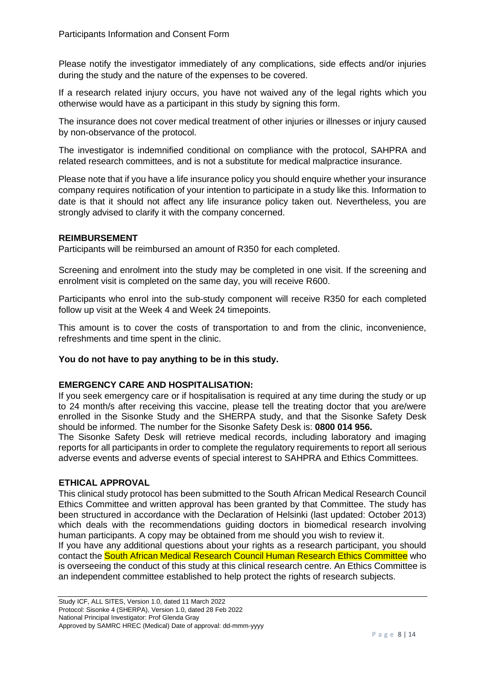Please notify the investigator immediately of any complications, side effects and/or injuries during the study and the nature of the expenses to be covered.

If a research related injury occurs, you have not waived any of the legal rights which you otherwise would have as a participant in this study by signing this form.

The insurance does not cover medical treatment of other injuries or illnesses or injury caused by non-observance of the protocol.

The investigator is indemnified conditional on compliance with the protocol, SAHPRA and related research committees, and is not a substitute for medical malpractice insurance.

Please note that if you have a life insurance policy you should enquire whether your insurance company requires notification of your intention to participate in a study like this. Information to date is that it should not affect any life insurance policy taken out. Nevertheless, you are strongly advised to clarify it with the company concerned.

# **REIMBURSEMENT**

Participants will be reimbursed an amount of R350 for each completed.

Screening and enrolment into the study may be completed in one visit. If the screening and enrolment visit is completed on the same day, you will receive R600.

Participants who enrol into the sub-study component will receive R350 for each completed follow up visit at the Week 4 and Week 24 timepoints.

This amount is to cover the costs of transportation to and from the clinic, inconvenience, refreshments and time spent in the clinic.

# **You do not have to pay anything to be in this study.**

#### **EMERGENCY CARE AND HOSPITALISATION:**

If you seek emergency care or if hospitalisation is required at any time during the study or up to 24 month/s after receiving this vaccine, please tell the treating doctor that you are/were enrolled in the Sisonke Study and the SHERPA study, and that the Sisonke Safety Desk should be informed. The number for the Sisonke Safety Desk is: **0800 014 956.**

The Sisonke Safety Desk will retrieve medical records, including laboratory and imaging reports for all participants in order to complete the regulatory requirements to report all serious adverse events and adverse events of special interest to SAHPRA and Ethics Committees.

#### **ETHICAL APPROVAL**

This clinical study protocol has been submitted to the South African Medical Research Council Ethics Committee and written approval has been granted by that Committee. The study has been structured in accordance with the Declaration of Helsinki (last updated: October 2013) which deals with the recommendations guiding doctors in biomedical research involving human participants. A copy may be obtained from me should you wish to review it.

If you have any additional questions about your rights as a research participant, you should contact the South African Medical Research Council Human Research Ethics Committee who is overseeing the conduct of this study at this clinical research centre. An Ethics Committee is an independent committee established to help protect the rights of research subjects.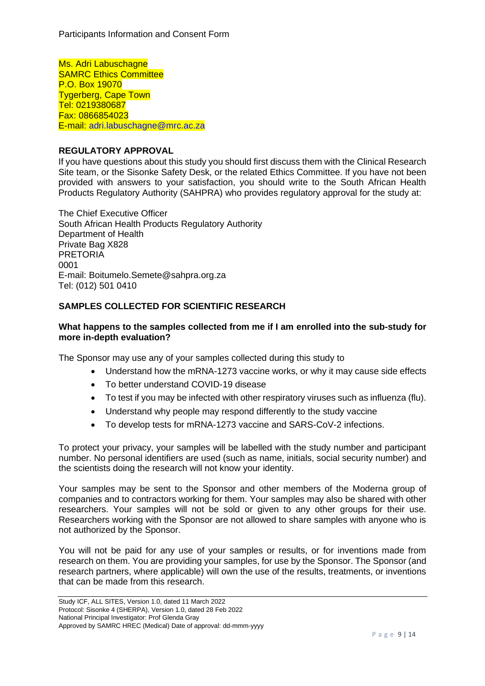Ms. Adri Labuschagne SAMRC Ethics Committee P.O. Box 19070 Tygerberg, Cape Town Tel: 0219380687 Fax: 0866854023 E-mail: adri.labuschagne@mrc.ac.za

# **REGULATORY APPROVAL**

If you have questions about this study you should first discuss them with the Clinical Research Site team, or the Sisonke Safety Desk, or the related Ethics Committee. If you have not been provided with answers to your satisfaction, you should write to the South African Health Products Regulatory Authority (SAHPRA) who provides regulatory approval for the study at:

The Chief Executive Officer South African Health Products Regulatory Authority Department of Health Private Bag X828 **PRETORIA** 0001 E-mail: Boitumelo.Semete@sahpra.org.za Tel: (012) 501 0410

# **SAMPLES COLLECTED FOR SCIENTIFIC RESEARCH**

## **What happens to the samples collected from me if I am enrolled into the sub-study for more in-depth evaluation?**

The Sponsor may use any of your samples collected during this study to

- Understand how the mRNA-1273 vaccine works, or why it may cause side effects
- To better understand COVID-19 disease
- To test if you may be infected with other respiratory viruses such as influenza (flu).
- Understand why people may respond differently to the study vaccine
- To develop tests for mRNA-1273 vaccine and SARS-CoV-2 infections.

To protect your privacy, your samples will be labelled with the study number and participant number. No personal identifiers are used (such as name, initials, social security number) and the scientists doing the research will not know your identity.

Your samples may be sent to the Sponsor and other members of the Moderna group of companies and to contractors working for them. Your samples may also be shared with other researchers. Your samples will not be sold or given to any other groups for their use. Researchers working with the Sponsor are not allowed to share samples with anyone who is not authorized by the Sponsor.

You will not be paid for any use of your samples or results, or for inventions made from research on them. You are providing your samples, for use by the Sponsor. The Sponsor (and research partners, where applicable) will own the use of the results, treatments, or inventions that can be made from this research.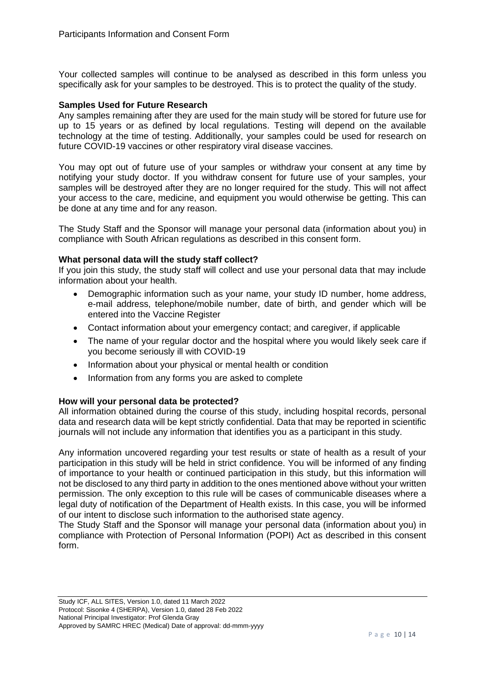Your collected samples will continue to be analysed as described in this form unless you specifically ask for your samples to be destroyed. This is to protect the quality of the study.

#### **Samples Used for Future Research**

Any samples remaining after they are used for the main study will be stored for future use for up to 15 years or as defined by local regulations. Testing will depend on the available technology at the time of testing. Additionally, your samples could be used for research on future COVID-19 vaccines or other respiratory viral disease vaccines.

You may opt out of future use of your samples or withdraw your consent at any time by notifying your study doctor. If you withdraw consent for future use of your samples, your samples will be destroyed after they are no longer required for the study. This will not affect your access to the care, medicine, and equipment you would otherwise be getting. This can be done at any time and for any reason.

The Study Staff and the Sponsor will manage your personal data (information about you) in compliance with South African regulations as described in this consent form.

#### **What personal data will the study staff collect?**

If you join this study, the study staff will collect and use your personal data that may include information about your health.

- Demographic information such as your name, your study ID number, home address, e-mail address, telephone/mobile number, date of birth, and gender which will be entered into the Vaccine Register
- Contact information about your emergency contact; and caregiver, if applicable
- The name of your regular doctor and the hospital where you would likely seek care if you become seriously ill with COVID-19
- Information about your physical or mental health or condition
- Information from any forms you are asked to complete

# **How will your personal data be protected?**

All information obtained during the course of this study, including hospital records, personal data and research data will be kept strictly confidential. Data that may be reported in scientific journals will not include any information that identifies you as a participant in this study.

Any information uncovered regarding your test results or state of health as a result of your participation in this study will be held in strict confidence. You will be informed of any finding of importance to your health or continued participation in this study, but this information will not be disclosed to any third party in addition to the ones mentioned above without your written permission. The only exception to this rule will be cases of communicable diseases where a legal duty of notification of the Department of Health exists. In this case, you will be informed of our intent to disclose such information to the authorised state agency.

The Study Staff and the Sponsor will manage your personal data (information about you) in compliance with Protection of Personal Information (POPI) Act as described in this consent form.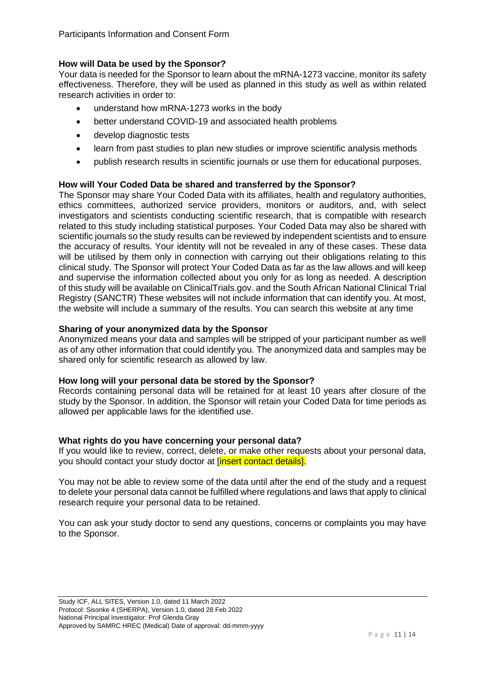# **How will Data be used by the Sponsor?**

Your data is needed for the Sponsor to learn about the mRNA-1273 vaccine, monitor its safety effectiveness. Therefore, they will be used as planned in this study as well as within related research activities in order to:

- understand how mRNA-1273 works in the body
- better understand COVID-19 and associated health problems
- develop diagnostic tests
- learn from past studies to plan new studies or improve scientific analysis methods
- publish research results in scientific journals or use them for educational purposes.

# **How will Your Coded Data be shared and transferred by the Sponsor?**

The Sponsor may share Your Coded Data with its affiliates, health and regulatory authorities, ethics committees, authorized service providers, monitors or auditors, and, with select investigators and scientists conducting scientific research, that is compatible with research related to this study including statistical purposes. Your Coded Data may also be shared with scientific journals so the study results can be reviewed by independent scientists and to ensure the accuracy of results. Your identity will not be revealed in any of these cases. These data will be utilised by them only in connection with carrying out their obligations relating to this clinical study. The Sponsor will protect Your Coded Data as far as the law allows and will keep and supervise the information collected about you only for as long as needed. A description of this study will be available on ClinicalTrials.gov. and the South African National Clinical Trial Registry (SANCTR) These websites will not include information that can identify you. At most, the website will include a summary of the results. You can search this website at any time

# **Sharing of your anonymized data by the Sponsor**

Anonymized means your data and samples will be stripped of your participant number as well as of any other information that could identify you. The anonymized data and samples may be shared only for scientific research as allowed by law.

# **How long will your personal data be stored by the Sponsor?**

Records containing personal data will be retained for at least 10 years after closure of the study by the Sponsor. In addition, the Sponsor will retain your Coded Data for time periods as allowed per applicable laws for the identified use.

# **What rights do you have concerning your personal data?**

If you would like to review, correct, delete, or make other requests about your personal data, you should contact your study doctor at [insert contact details].

You may not be able to review some of the data until after the end of the study and a request to delete your personal data cannot be fulfilled where regulations and laws that apply to clinical research require your personal data to be retained.

You can ask your study doctor to send any questions, concerns or complaints you may have to the Sponsor.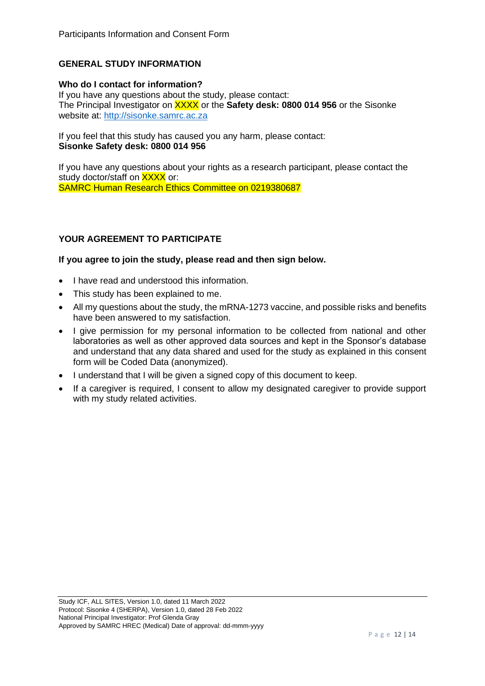# **GENERAL STUDY INFORMATION**

#### **Who do I contact for information?**

If you have any questions about the study, please contact: The Principal Investigator on XXXX or the **Safety desk: 0800 014 956** or the Sisonke website at: [http://sisonke.samrc.ac.za](http://sisonke.samrc.ac.za/)

If you feel that this study has caused you any harm, please contact: **Sisonke Safety desk: 0800 014 956**

If you have any questions about your rights as a research participant, please contact the study doctor/staff on XXXX or: SAMRC Human Research Ethics Committee on 0219380687

# **YOUR AGREEMENT TO PARTICIPATE**

#### **If you agree to join the study, please read and then sign below.**

- I have read and understood this information.
- This study has been explained to me.
- All my questions about the study, the mRNA-1273 vaccine, and possible risks and benefits have been answered to my satisfaction.
- I give permission for my personal information to be collected from national and other laboratories as well as other approved data sources and kept in the Sponsor's database and understand that any data shared and used for the study as explained in this consent form will be Coded Data (anonymized).
- I understand that I will be given a signed copy of this document to keep.
- If a caregiver is required, I consent to allow my designated caregiver to provide support with my study related activities.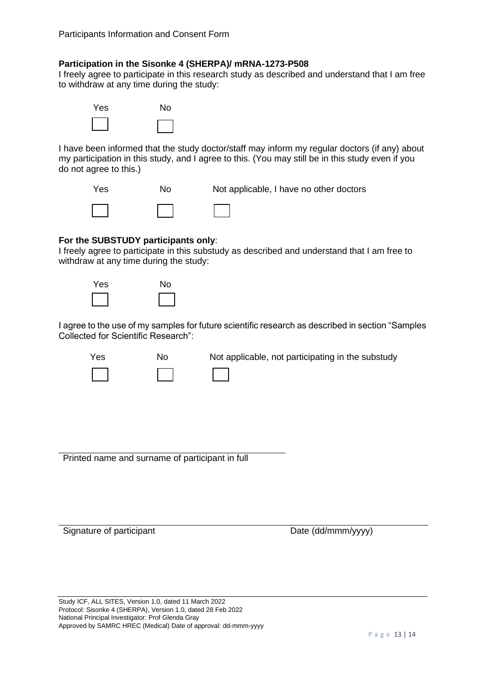# **Participation in the Sisonke 4 (SHERPA)/ mRNA-1273-P508**

I freely agree to participate in this research study as described and understand that I am free to withdraw at any time during the study:



I have been informed that the study doctor/staff may inform my regular doctors (if any) about my participation in this study, and I agree to this. (You may still be in this study even if you do not agree to this.)



# **For the SUBSTUDY participants only**:

I freely agree to participate in this substudy as described and understand that I am free to withdraw at any time during the study:



I agree to the use of my samples for future scientific research as described in section "Samples Collected for Scientific Research":

| Yes | No. | Not applicable, not participating in the substudy |
|-----|-----|---------------------------------------------------|
|     |     |                                                   |

Printed name and surname of participant in full

Signature of participant Date (dd/mmm/yyyy)

Study ICF, ALL SITES, Version 1.0, dated 11 March 2022 Protocol: Sisonke 4 (SHERPA), Version 1.0, dated 28 Feb 2022 National Principal Investigator: Prof Glenda Gray Approved by SAMRC HREC (Medical) Date of approval: dd-mmm-yyyy